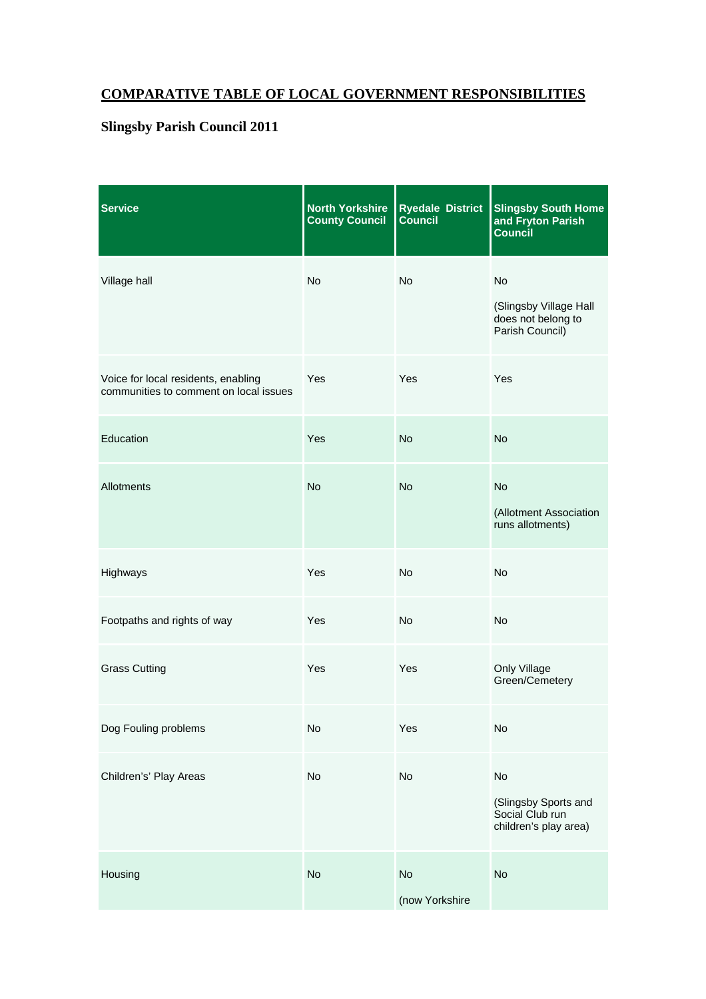## **COMPARATIVE TABLE OF LOCAL GOVERNMENT RESPONSIBILITIES**

## **Slingsby Parish Council 2011**

| <b>Service</b>                                                                | <b>North Yorkshire</b><br><b>County Council</b> | Ryedale District<br>Council | <b>Slingsby South Home</b><br>and Fryton Parish<br><b>Council</b>            |
|-------------------------------------------------------------------------------|-------------------------------------------------|-----------------------------|------------------------------------------------------------------------------|
| Village hall                                                                  | <b>No</b>                                       | <b>No</b>                   | <b>No</b><br>(Slingsby Village Hall<br>does not belong to<br>Parish Council) |
| Voice for local residents, enabling<br>communities to comment on local issues | Yes                                             | Yes                         | Yes                                                                          |
| Education                                                                     | Yes                                             | <b>No</b>                   | <b>No</b>                                                                    |
| Allotments                                                                    | <b>No</b>                                       | <b>No</b>                   | <b>No</b><br>(Allotment Association<br>runs allotments)                      |
| Highways                                                                      | Yes                                             | No                          | <b>No</b>                                                                    |
| Footpaths and rights of way                                                   | Yes                                             | <b>No</b>                   | <b>No</b>                                                                    |
| <b>Grass Cutting</b>                                                          | Yes                                             | Yes                         | Only Village<br>Green/Cemetery                                               |
| Dog Fouling problems                                                          | No                                              | Yes                         | No                                                                           |
| Children's' Play Areas                                                        | No                                              | No                          | No<br>(Slingsby Sports and<br>Social Club run<br>children's play area)       |
| Housing                                                                       | No                                              | No<br>(now Yorkshire        | No                                                                           |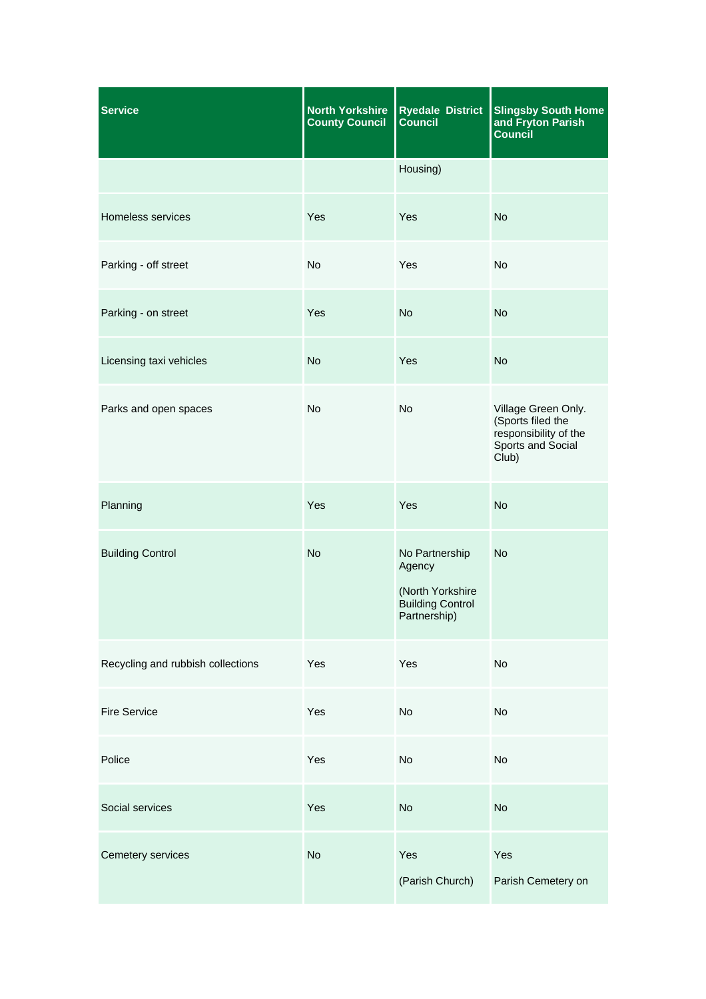| <b>Service</b>                    | <b>North Yorkshire</b><br><b>County Council</b> | <b>Ryedale District</b><br><b>Council</b>                                               | <b>Slingsby South Home</b><br>and Fryton Parish<br><b>Council</b>                               |
|-----------------------------------|-------------------------------------------------|-----------------------------------------------------------------------------------------|-------------------------------------------------------------------------------------------------|
|                                   |                                                 | Housing)                                                                                |                                                                                                 |
| Homeless services                 | Yes                                             | Yes                                                                                     | <b>No</b>                                                                                       |
| Parking - off street              | <b>No</b>                                       | Yes                                                                                     | <b>No</b>                                                                                       |
| Parking - on street               | Yes                                             | <b>No</b>                                                                               | <b>No</b>                                                                                       |
| Licensing taxi vehicles           | <b>No</b>                                       | Yes                                                                                     | <b>No</b>                                                                                       |
| Parks and open spaces             | No                                              | No                                                                                      | Village Green Only.<br>(Sports filed the<br>responsibility of the<br>Sports and Social<br>Club) |
| Planning                          | Yes                                             | Yes                                                                                     | <b>No</b>                                                                                       |
| <b>Building Control</b>           | <b>No</b>                                       | No Partnership<br>Agency<br>(North Yorkshire<br><b>Building Control</b><br>Partnership) | <b>No</b>                                                                                       |
| Recycling and rubbish collections | Yes                                             | Yes                                                                                     | No                                                                                              |
| <b>Fire Service</b>               | Yes                                             | No                                                                                      | No                                                                                              |
| Police                            | Yes                                             | No                                                                                      | No                                                                                              |
| Social services                   | Yes                                             | No                                                                                      | <b>No</b>                                                                                       |
| Cemetery services                 | <b>No</b>                                       | Yes<br>(Parish Church)                                                                  | Yes<br>Parish Cemetery on                                                                       |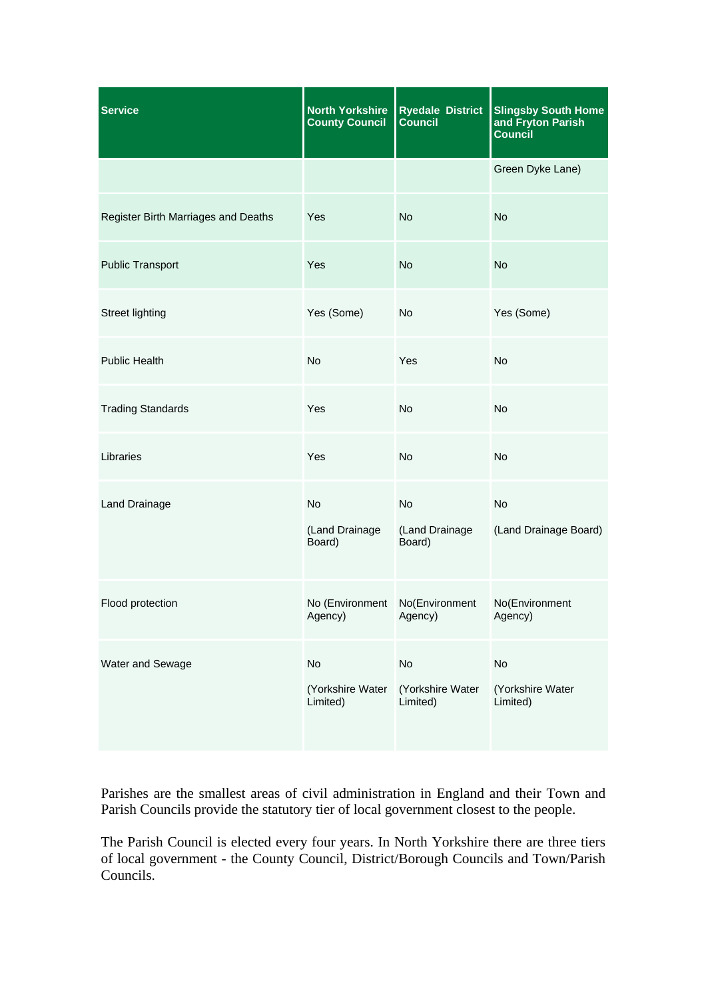| <b>Service</b>                      | <b>North Yorkshire</b><br><b>County Council</b> | <b>Ryedale District</b><br><b>Council</b> | <b>Slingsby South Home</b><br>and Fryton Parish<br><b>Council</b> |
|-------------------------------------|-------------------------------------------------|-------------------------------------------|-------------------------------------------------------------------|
|                                     |                                                 |                                           | Green Dyke Lane)                                                  |
| Register Birth Marriages and Deaths | Yes                                             | <b>No</b>                                 | <b>No</b>                                                         |
| <b>Public Transport</b>             | Yes                                             | <b>No</b>                                 | <b>No</b>                                                         |
| <b>Street lighting</b>              | Yes (Some)                                      | No                                        | Yes (Some)                                                        |
| <b>Public Health</b>                | <b>No</b>                                       | Yes                                       | <b>No</b>                                                         |
| <b>Trading Standards</b>            | Yes                                             | No                                        | No                                                                |
| Libraries                           | Yes                                             | No                                        | No                                                                |
| Land Drainage                       | <b>No</b><br>(Land Drainage<br>Board)           | No<br>(Land Drainage<br>Board)            | <b>No</b><br>(Land Drainage Board)                                |
| Flood protection                    | No (Environment No(Environment<br>Agency)       | Agency)                                   | No(Environment<br>Agency)                                         |
| Water and Sewage                    | No<br>(Yorkshire Water<br>Limited)              | No<br>(Yorkshire Water<br>Limited)        | No<br>(Yorkshire Water<br>Limited)                                |

Parishes are the smallest areas of civil administration in England and their Town and Parish Councils provide the statutory tier of local government closest to the people.

The Parish Council is elected every four years. In North Yorkshire there are three tiers of local government - the County Council, District/Borough Councils and Town/Parish Councils.